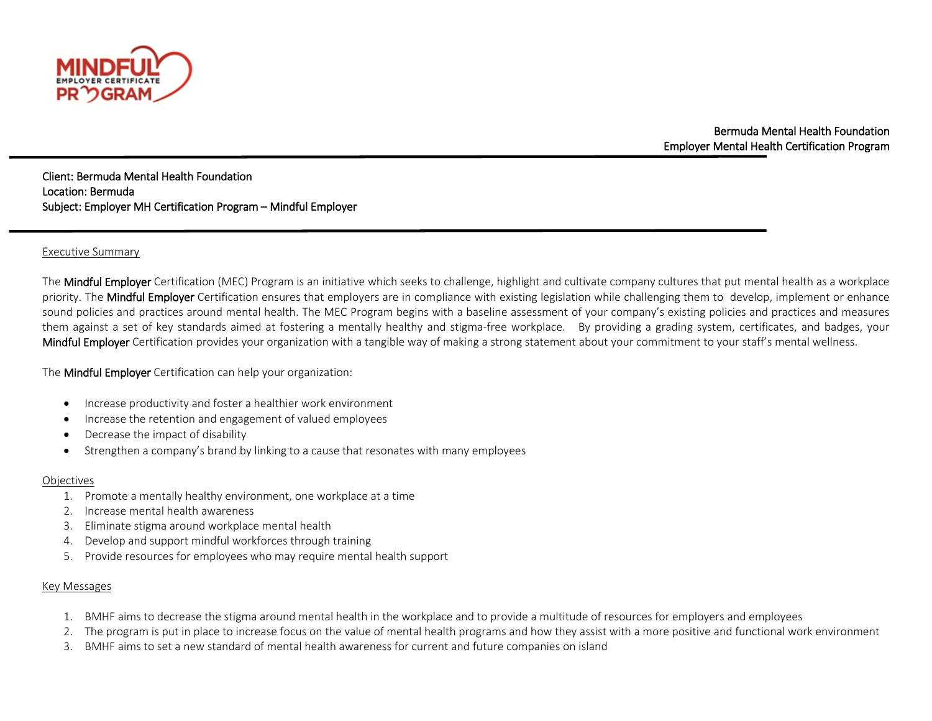

Bermuda Mental Health Foundation Employer Mental Health Certification Program

֡֡֡֡֡ Client: Bermuda Mental Health Foundation Location: Bermuda Subject: Employer MH Certification Program – Mindful Employer

### Executive Summary

The Mindful Employer Certification (MEC) Program is an initiative which seeks to challenge, highlight and cultivate company cultures that put mental health as a workplace priority. The Mindful Employer Certification ensures that employers are in compliance with existing legislation while challenging them to develop, implement or enhance sound policies and practices around mental health. The MEC Program begins with a baseline assessment of your company's existing policies and practices and measures them against a set of key standards aimed at fostering a mentally healthy and stigma-free workplace. By providing a grading system, certificates, and badges, your Mindful Employer Certification provides your organization with a tangible way of making a strong statement about your commitment to your staff's mental wellness.

The Mindful Employer Certification can help your organization:

- Increase productivity and foster a healthier work environment
- Increase the retention and engagement of valued employees
- Decrease the impact of disability
- Strengthen a company's brand by linking to a cause that resonates with many employees

#### Objectives

- 1. Promote a mentally healthy environment, one workplace at a time
- 2. Increase mental health awareness
- 3. Eliminate stigma around workplace mental health
- 4. Develop and support mindful workforces through training
- 5. Provide resources for employees who may require mental health support

# Key Messages

- 1. BMHF aims to decrease the stigma around mental health in the workplace and to provide a multitude of resources for employers and employees
- 2. The program is put in place to increase focus on the value of mental health programs and how they assist with a more positive and functional work environment
- 3. BMHF aims to set a new standard of mental health awareness for current and future companies on island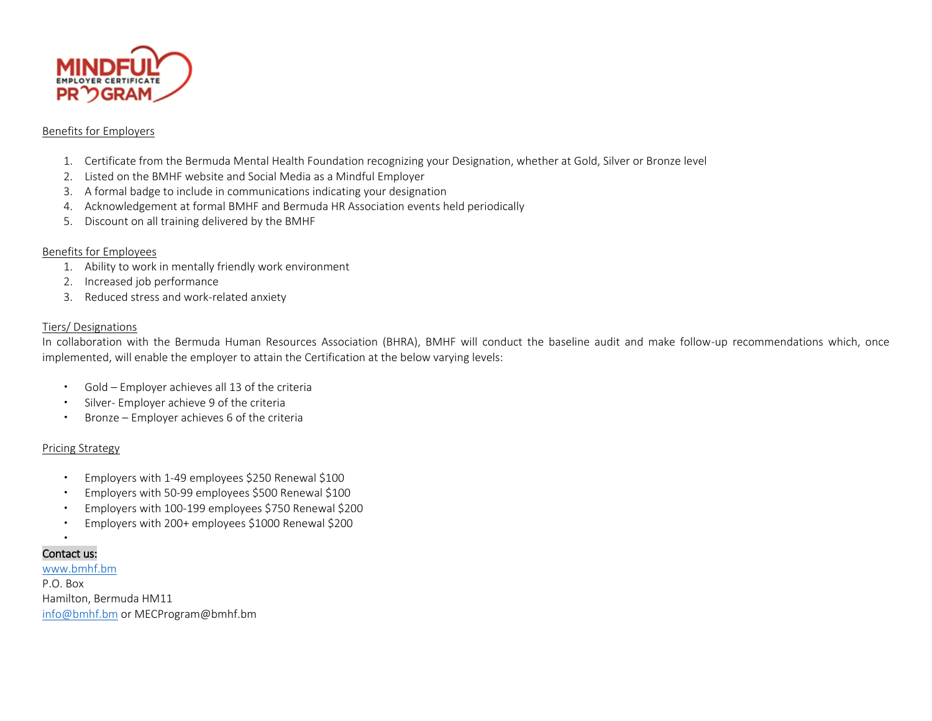

## Benefits for Employers

- 1. Certificate from the Bermuda Mental Health Foundation recognizing your Designation, whether at Gold, Silver or Bronze level
- 2. Listed on the BMHF website and Social Media as a Mindful Employer
- 3. A formal badge to include in communications indicating your designation
- 4. Acknowledgement at formal BMHF and Bermuda HR Association events held periodically
- 5. Discount on all training delivered by the BMHF

# Benefits for Employees

- 1. Ability to work in mentally friendly work environment
- 2. Increased job performance
- 3. Reduced stress and work-related anxiety

### Tiers/ Designations

In collaboration with the Bermuda Human Resources Association (BHRA), BMHF will conduct the baseline audit and make follow-up recommendations which, once implemented, will enable the employer to attain the Certification at the below varying levels:

- Gold Employer achieves all 13 of the criteria
- Silver- Employer achieve 9 of the criteria
- Bronze Employer achieves 6 of the criteria

#### Pricing Strategy

- Employers with 1-49 employees \$250 Renewal \$100
- Employers with 50-99 employees \$500 Renewal \$100
- Employers with 100-199 employees \$750 Renewal \$200
- Employers with 200+ employees \$1000 Renewal \$200

## . Contact us:

[www.bmhf.bm](http://www.bmhf.bm/) P.O. Box Hamilton, Bermuda HM11 [info@bmhf.bm](mailto:info@bmhf.bm) or MECProgram@bmhf.bm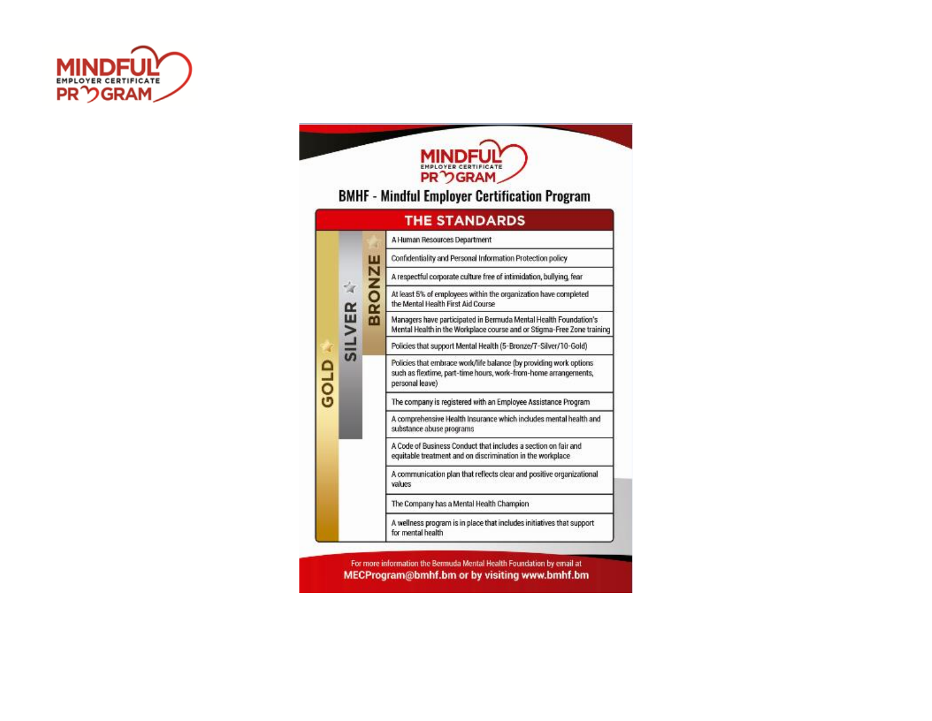



For more information the Bermuda Mental Health Foundation by email at MECProgram@bmhf.bm or by visiting www.bmhf.bm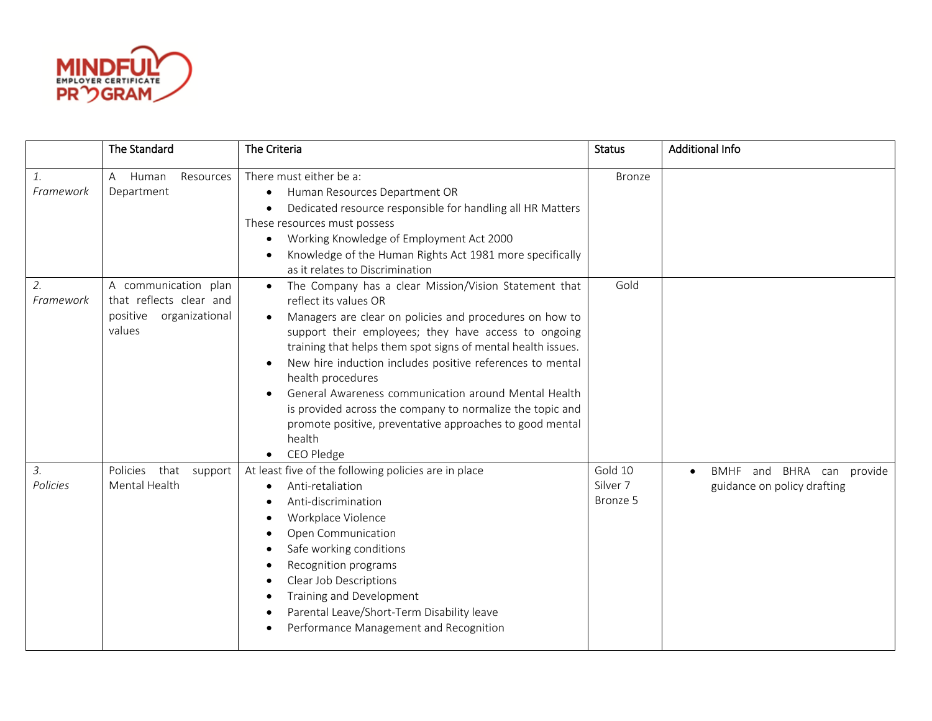

|                 | The Standard                                                                            | The Criteria                                                                                                                                                                                                                                                                                                                                                                                                                                                                                                                                                              | <b>Status</b>                              | <b>Additional Info</b>                                                |
|-----------------|-----------------------------------------------------------------------------------------|---------------------------------------------------------------------------------------------------------------------------------------------------------------------------------------------------------------------------------------------------------------------------------------------------------------------------------------------------------------------------------------------------------------------------------------------------------------------------------------------------------------------------------------------------------------------------|--------------------------------------------|-----------------------------------------------------------------------|
| 1.<br>Framework | Resources<br>Human<br>A<br>Department                                                   | There must either be a:<br>Human Resources Department OR<br>$\bullet$<br>Dedicated resource responsible for handling all HR Matters<br>These resources must possess<br>Working Knowledge of Employment Act 2000<br>$\bullet$<br>Knowledge of the Human Rights Act 1981 more specifically<br>as it relates to Discrimination                                                                                                                                                                                                                                               | <b>Bronze</b>                              |                                                                       |
| 2.<br>Framework | A communication plan<br>that reflects clear and<br>organizational<br>positive<br>values | The Company has a clear Mission/Vision Statement that<br>$\bullet$<br>reflect its values OR<br>Managers are clear on policies and procedures on how to<br>support their employees; they have access to ongoing<br>training that helps them spot signs of mental health issues.<br>New hire induction includes positive references to mental<br>health procedures<br>General Awareness communication around Mental Health<br>is provided across the company to normalize the topic and<br>promote positive, preventative approaches to good mental<br>health<br>CEO Pledge | Gold                                       |                                                                       |
| 3.<br>Policies  | Policies that<br>support<br>Mental Health                                               | At least five of the following policies are in place<br>Anti-retaliation<br>$\bullet$<br>Anti-discrimination<br>Workplace Violence<br>Open Communication<br>$\bullet$<br>Safe working conditions<br>Recognition programs<br>Clear Job Descriptions<br>$\bullet$<br>Training and Development<br>Parental Leave/Short-Term Disability leave<br>Performance Management and Recognition                                                                                                                                                                                       | Gold 10<br>Silver <sub>7</sub><br>Bronze 5 | BMHF and BHRA can provide<br>$\bullet$<br>guidance on policy drafting |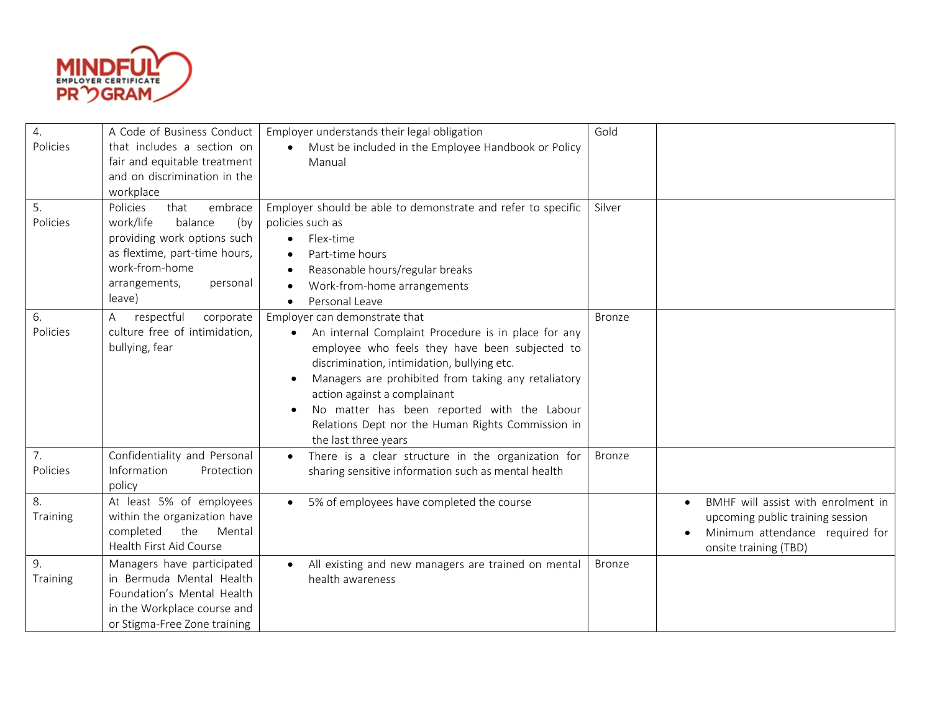

| 4.               | A Code of Business Conduct    | Employer understands their legal obligation                      | Gold          |                                                 |
|------------------|-------------------------------|------------------------------------------------------------------|---------------|-------------------------------------------------|
| Policies         | that includes a section on    | Must be included in the Employee Handbook or Policy              |               |                                                 |
|                  | fair and equitable treatment  | Manual                                                           |               |                                                 |
|                  | and on discrimination in the  |                                                                  |               |                                                 |
|                  | workplace                     |                                                                  |               |                                                 |
| 5.               | Policies<br>that<br>embrace   | Employer should be able to demonstrate and refer to specific     | Silver        |                                                 |
| Policies         | work/life<br>balance<br>(by   | policies such as                                                 |               |                                                 |
|                  | providing work options such   | Flex-time<br>$\bullet$                                           |               |                                                 |
|                  | as flextime, part-time hours, | Part-time hours                                                  |               |                                                 |
|                  | work-from-home                | Reasonable hours/regular breaks<br>$\bullet$                     |               |                                                 |
|                  | arrangements,<br>personal     | Work-from-home arrangements                                      |               |                                                 |
|                  | leave)                        | Personal Leave                                                   |               |                                                 |
| 6.               | respectful<br>corporate<br>A  | Employer can demonstrate that                                    | <b>Bronze</b> |                                                 |
| Policies         | culture free of intimidation, | An internal Complaint Procedure is in place for any<br>$\bullet$ |               |                                                 |
|                  | bullying, fear                | employee who feels they have been subjected to                   |               |                                                 |
|                  |                               | discrimination, intimidation, bullying etc.                      |               |                                                 |
|                  |                               | Managers are prohibited from taking any retaliatory              |               |                                                 |
|                  |                               | action against a complainant                                     |               |                                                 |
|                  |                               | No matter has been reported with the Labour                      |               |                                                 |
|                  |                               | Relations Dept nor the Human Rights Commission in                |               |                                                 |
|                  |                               | the last three years                                             |               |                                                 |
| $\overline{7}$ . | Confidentiality and Personal  | There is a clear structure in the organization for<br>$\bullet$  | <b>Bronze</b> |                                                 |
| Policies         | Information<br>Protection     | sharing sensitive information such as mental health              |               |                                                 |
|                  | policy                        |                                                                  |               |                                                 |
| 8.               | At least 5% of employees      | 5% of employees have completed the course<br>$\bullet$           |               | BMHF will assist with enrolment in<br>$\bullet$ |
| Training         | within the organization have  |                                                                  |               | upcoming public training session                |
|                  | completed<br>the<br>Mental    |                                                                  |               | Minimum attendance required for                 |
|                  | Health First Aid Course       |                                                                  |               | onsite training (TBD)                           |
| 9.               | Managers have participated    | All existing and new managers are trained on mental              | <b>Bronze</b> |                                                 |
| Training         | in Bermuda Mental Health      | health awareness                                                 |               |                                                 |
|                  | Foundation's Mental Health    |                                                                  |               |                                                 |
|                  | in the Workplace course and   |                                                                  |               |                                                 |
|                  | or Stigma-Free Zone training  |                                                                  |               |                                                 |
|                  |                               |                                                                  |               |                                                 |